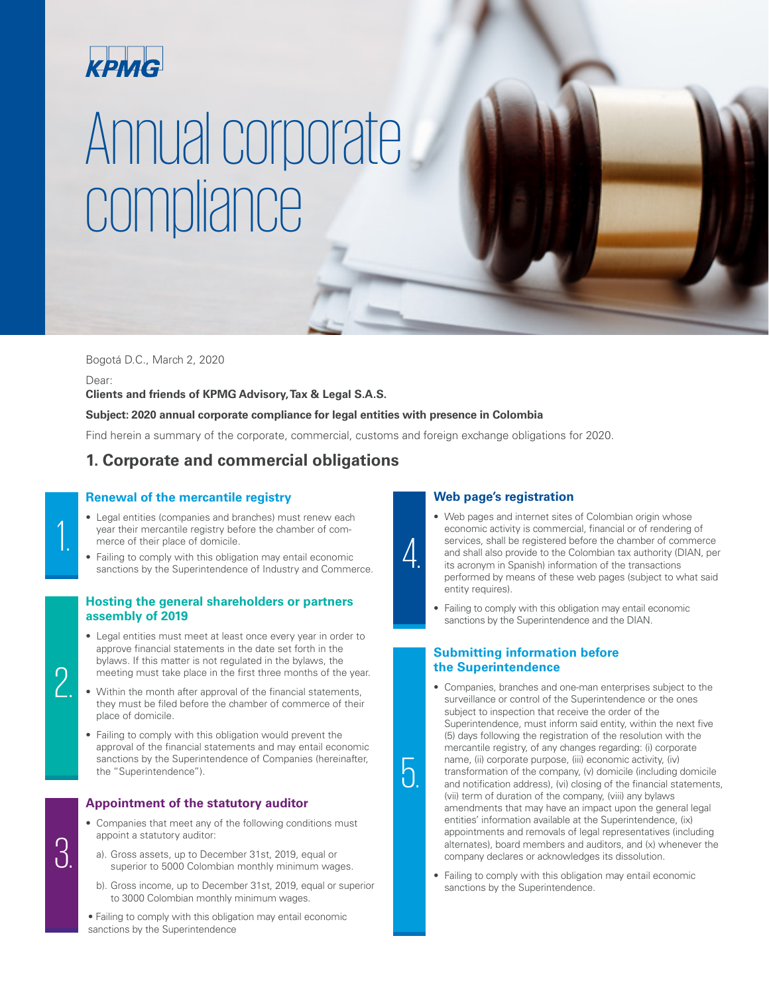

# Annual corporate compliance

Bogotá D.C., March 2, 2020

Dear:

**Clients and friends of KPMG Advisory, Tax & Legal S.A.S.**

# **Subject: 2020 annual corporate compliance for legal entities with presence in Colombia**

Find herein a summary of the corporate, commercial, customs and foreign exchange obligations for 2020.

4.

5.

# **1. Corporate and commercial obligations**

# **Renewal of the mercantile registry**

- Legal entities (companies and branches) must renew each year their mercantile registry before the chamber of commerce of their place of domicile.
- Failing to comply with this obligation may entail economic sanctions by the Superintendence of Industry and Commerce.

# **Hosting the general shareholders or partners assembly of 2019**

- Legal entities must meet at least once every year in order to approve financial statements in the date set forth in the bylaws. If this matter is not regulated in the bylaws, the meeting must take place in the first three months of the year.
- Within the month after approval of the financial statements, they must be filed before the chamber of commerce of their place of domicile.
- Failing to comply with this obligation would prevent the approval of the financial statements and may entail economic sanctions by the Superintendence of Companies (hereinafter, the "Superintendence").

# **Appointment of the statutory auditor**

- Companies that meet any of the following conditions must appoint a statutory auditor:
	- a). Gross assets, up to December 31st, 2019, equal or superior to 5000 Colombian monthly minimum wages.
	- b). Gross income, up to December 31st, 2019, equal or superior to 3000 Colombian monthly minimum wages.

• Failing to comply with this obligation may entail economic sanctions by the Superintendence

# **Web page's registration**

- Web pages and internet sites of Colombian origin whose economic activity is commercial, financial or of rendering of services, shall be registered before the chamber of commerce and shall also provide to the Colombian tax authority (DIAN, per its acronym in Spanish) information of the transactions performed by means of these web pages (subject to what said entity requires).
- Failing to comply with this obligation may entail economic sanctions by the Superintendence and the DIAN.

# **Submitting information before the Superintendence**

- Companies, branches and one-man enterprises subject to the surveillance or control of the Superintendence or the ones subject to inspection that receive the order of the Superintendence, must inform said entity, within the next five (5) days following the registration of the resolution with the mercantile registry, of any changes regarding: (i) corporate name, (ii) corporate purpose, (iii) economic activity, (iv) transformation of the company, (v) domicile (including domicile and notification address), (vi) closing of the financial statements, (vii) term of duration of the company, (viii) any bylaws amendments that may have an impact upon the general legal entities' information available at the Superintendence, (ix) appointments and removals of legal representatives (including alternates), board members and auditors, and (x) whenever the company declares or acknowledges its dissolution.
	- Failing to comply with this obligation may entail economic sanctions by the Superintendence.

 $\Omega$ 

2.

1.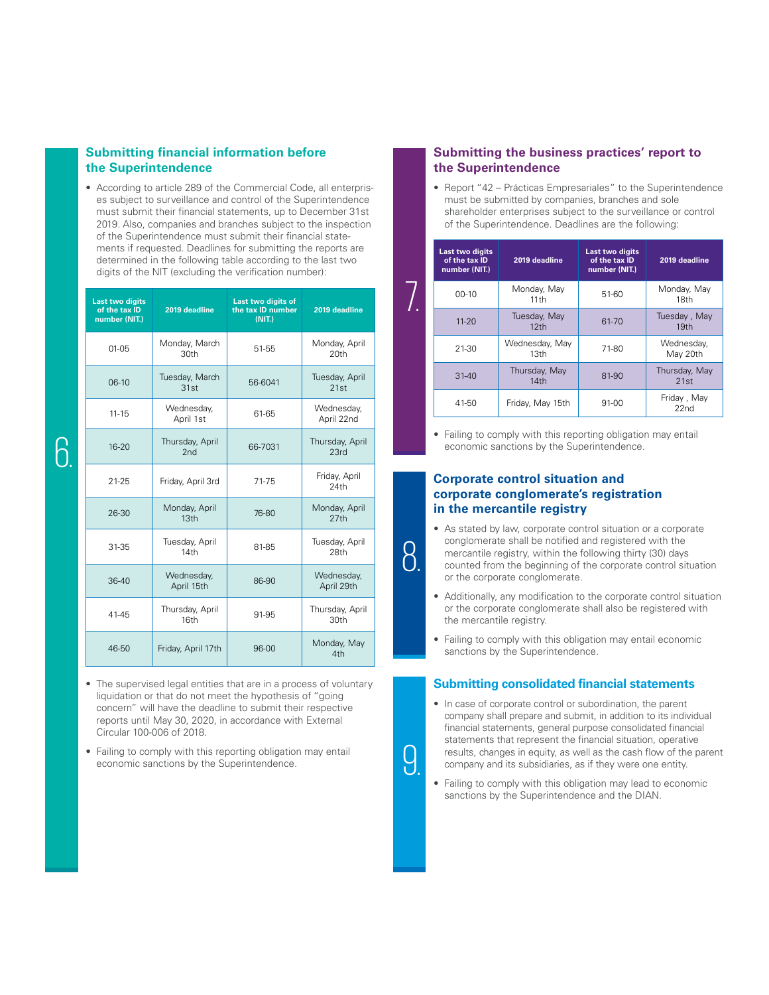# **Submitting financial information before the Superintendence**

• According to article 289 of the Commercial Code, all enterprises subject to surveillance and control of the Superintendence must submit their financial statements, up to December 31st 2019. Also, companies and branches subject to the inspection of the Superintendence must submit their financial statements if requested. Deadlines for submitting the reports are determined in the following table according to the last two digits of the NIT (excluding the verification number):

| <b>Last two digits</b><br>of the tax ID<br>number (NIT.) | 2019 deadline                     | <b>Last two digits of</b><br>the tax ID number<br>(NIT.) | 2019 deadline                       |
|----------------------------------------------------------|-----------------------------------|----------------------------------------------------------|-------------------------------------|
| $01-05$                                                  | Monday, March<br>30 <sub>th</sub> | 51-55                                                    | Monday, April<br>20th               |
| $06-10$                                                  | Tuesday, March<br>31st            | 56-6041                                                  | Tuesday, April<br>21st              |
| $11 - 15$                                                | Wednesday,<br>April 1st           | 61-65                                                    | Wednesday,<br>April 22nd            |
| $16 - 20$                                                | Thursday, April<br>2nd            | 66-7031                                                  | Thursday, April<br>23rd             |
| $21 - 25$                                                | Friday, April 3rd                 | 71-75                                                    | Friday, April<br>24th               |
| 26-30                                                    | Monday, April<br>13 <sub>th</sub> | 76-80                                                    | Monday, April<br>27th               |
| 31-35                                                    | Tuesday, April<br>14th            | 81-85                                                    | Tuesday, April<br>28th              |
| $36-40$                                                  | Wednesday,<br>April 15th          | 86-90                                                    | Wednesday,<br>April 29th            |
| 41-45                                                    | Thursday, April<br>16th           | 91-95                                                    | Thursday, April<br>30 <sub>th</sub> |
| 46-50                                                    | Friday, April 17th                | 96-00                                                    | Monday, May<br>4th                  |

- The supervised legal entities that are in a process of voluntary liquidation or that do not meet the hypothesis of "going concern" will have the deadline to submit their respective reports until May 30, 2020, in accordance with External Circular 100-006 of 2018.
- Failing to comply with this reporting obligation may entail economic sanctions by the Superintendence.

# **Submitting the business practices' report to the Superintendence**

• Report "42 – Prácticas Empresariales" to the Superintendence must be submitted by companies, branches and sole shareholder enterprises subject to the surveillance or control of the Superintendence. Deadlines are the following:

| Last two digits<br>of the tax ID<br>number (NIT.) | 2019 deadline                      | Last two digits<br>of the tax ID<br>number (NIT.) | 2019 deadline                   |
|---------------------------------------------------|------------------------------------|---------------------------------------------------|---------------------------------|
| $00-10$                                           | Monday, May<br>11th                | 51-60                                             | Monday, May<br>18th             |
| $11 - 20$                                         | Tuesday, May<br>12 <sub>th</sub>   | 61-70                                             | Tuesday, May<br>19th            |
| 21-30                                             | Wednesday, May<br>13 <sub>th</sub> | 71-80                                             | Wednesday,<br>May 20th          |
| $31 - 40$                                         | Thursday, May<br>14th              | 81-90                                             | Thursday, May<br>21st           |
| 41-50                                             | Friday, May 15th                   | 91-00                                             | Friday, May<br>22n <sub>d</sub> |

• Failing to comply with this reporting obligation may entail economic sanctions by the Superintendence.

## **Corporate control situation and corporate conglomerate's registration in the mercantile registry**

8.

<u>()</u>

- As stated by law, corporate control situation or a corporate conglomerate shall be notified and registered with the mercantile registry, within the following thirty (30) days counted from the beginning of the corporate control situation or the corporate conglomerate.
- Additionally, any modification to the corporate control situation or the corporate conglomerate shall also be registered with the mercantile registry.
- Failing to comply with this obligation may entail economic sanctions by the Superintendence.

## **Submitting consolidated financial statements**

- In case of corporate control or subordination, the parent company shall prepare and submit, in addition to its individual financial statements, general purpose consolidated financial statements that represent the financial situation, operative results, changes in equity, as well as the cash flow of the parent company and its subsidiaries, as if they were one entity.
- Failing to comply with this obligation may lead to economic sanctions by the Superintendence and the DIAN.

6.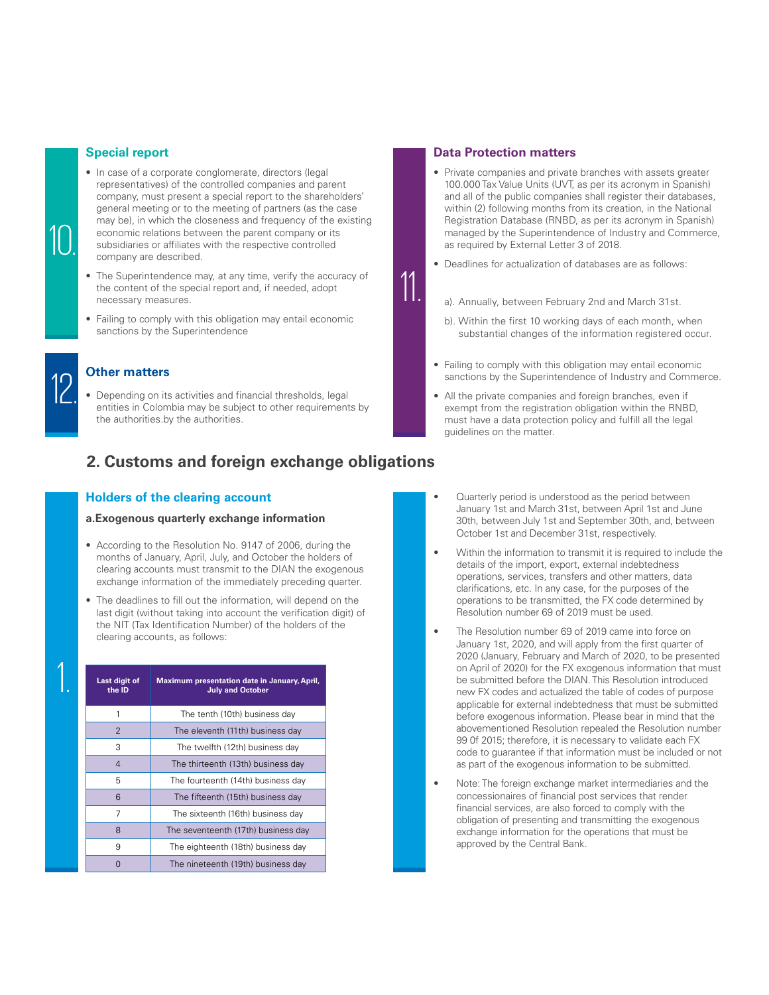## **Special report**

- In case of a corporate conglomerate, directors (legal representatives) of the controlled companies and parent company, must present a special report to the shareholders' general meeting or to the meeting of partners (as the case may be), in which the closeness and frequency of the existing economic relations between the parent company or its subsidiaries or affiliates with the respective controlled company are described.
- The Superintendence may, at any time, verify the accuracy of the content of the special report and, if needed, adopt necessary measures.
- Failing to comply with this obligation may entail economic sanctions by the Superintendence



10.

# **Other matters**

• Depending on its activities and financial thresholds, legal entities in Colombia may be subject to other requirements by the authorities.by the authorities.

# **2. Customs and foreign exchange obligations**

## **Holders of the clearing account**

## **a.Exogenous quarterly exchange information**

- According to the Resolution No. 9147 of 2006, during the months of January, April, July, and October the holders of clearing accounts must transmit to the DIAN the exogenous exchange information of the immediately preceding quarter.
- The deadlines to fill out the information, will depend on the last digit (without taking into account the verification digit) of the NIT (Tax Identification Number) of the holders of the clearing accounts, as follows:

| Last digit of<br>the ID | Maximum presentation date in January, April,<br><b>July and October</b> |  |
|-------------------------|-------------------------------------------------------------------------|--|
|                         | The tenth (10th) business day                                           |  |
| 2                       | The eleventh (11th) business day                                        |  |
| 3                       | The twelfth (12th) business day                                         |  |
| $\overline{4}$          | The thirteenth (13th) business day                                      |  |
| 5                       | The fourteenth (14th) business day                                      |  |
| 6                       | The fifteenth (15th) business day                                       |  |
| 7                       | The sixteenth (16th) business day                                       |  |
| 8                       | The seventeenth (17th) business day                                     |  |
| 9                       | The eighteenth (18th) business day                                      |  |
|                         | The nineteenth (19th) business day                                      |  |

## **Data Protection matters**

- Private companies and private branches with assets greater 100.000 Tax Value Units (UVT, as per its acronym in Spanish) and all of the public companies shall register their databases. within (2) following months from its creation, in the National Registration Database (RNBD, as per its acronym in Spanish) managed by the Superintendence of Industry and Commerce, as required by External Letter 3 of 2018.
- Deadlines for actualization of databases are as follows:

11.

- a). Annually, between February 2nd and March 31st.
- b). Within the first 10 working days of each month, when substantial changes of the information registered occur.
- Failing to comply with this obligation may entail economic sanctions by the Superintendence of Industry and Commerce.
- All the private companies and foreign branches, even if exempt from the registration obligation within the RNBD, must have a data protection policy and fulfill all the legal guidelines on the matter.
- Quarterly period is understood as the period between January 1st and March 31st, between April 1st and June 30th, between July 1st and September 30th, and, between October 1st and December 31st, respectively.
- Within the information to transmit it is required to include the details of the import, export, external indebtedness operations, services, transfers and other matters, data clarifications, etc. In any case, for the purposes of the operations to be transmitted, the FX code determined by Resolution number 69 of 2019 must be used.
- The Resolution number 69 of 2019 came into force on January 1st, 2020, and will apply from the first quarter of 2020 (January, February and March of 2020, to be presented on April of 2020) for the FX exogenous information that must be submitted before the DIAN. This Resolution introduced new FX codes and actualized the table of codes of purpose applicable for external indebtedness that must be submitted before exogenous information. Please bear in mind that the abovementioned Resolution repealed the Resolution number 99 0f 2015; therefore, it is necessary to validate each FX code to guarantee if that information must be included or not as part of the exogenous information to be submitted.
- Note: The foreign exchange market intermediaries and the concessionaires of financial post services that render financial services, are also forced to comply with the obligation of presenting and transmitting the exogenous exchange information for the operations that must be approved by the Central Bank.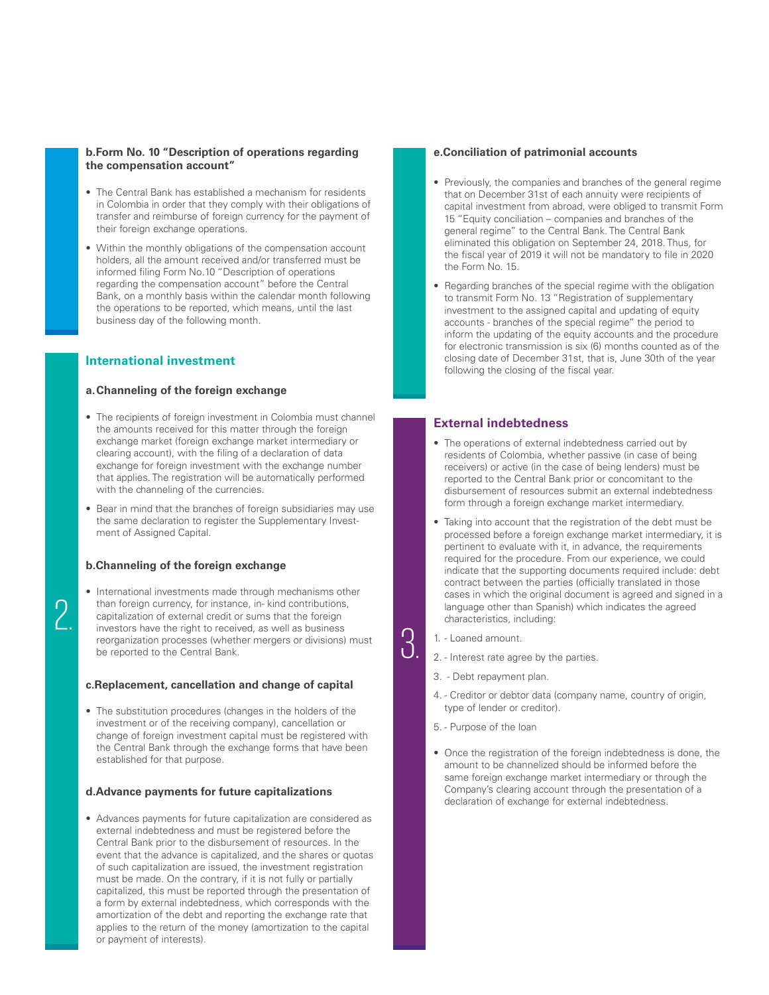## **b.Form No. 10 "Description of operations regarding the compensation account"**

- The Central Bank has established a mechanism for residents in Colombia in order that they comply with their obligations of transfer and reimburse of foreign currency for the payment of their foreign exchange operations.
- Within the monthly obligations of the compensation account holders, all the amount received and/or transferred must be informed filing Form No.10 "Description of operations regarding the compensation account" before the Central Bank, on a monthly basis within the calendar month following the operations to be reported, which means, until the last business day of the following month.

# **International investment**

## **a.Channeling of the foreign exchange**

- The recipients of foreign investment in Colombia must channel the amounts received for this matter through the foreign exchange market (foreign exchange market intermediary or clearing account), with the filing of a declaration of data exchange for foreign investment with the exchange number that applies. The registration will be automatically performed with the channeling of the currencies.
- Bear in mind that the branches of foreign subsidiaries may use the same declaration to register the Supplementary Investment of Assigned Capital.

## **b.Channeling of the foreign exchange**

 $\cap$ 

• International investments made through mechanisms other than foreign currency, for instance, in- kind contributions, capitalization of external credit or sums that the foreign investors have the right to received, as well as business reorganization processes (whether mergers or divisions) must be reported to the Central Bank.

## **c.Replacement, cancellation and change of capital**

• The substitution procedures (changes in the holders of the investment or of the receiving company), cancellation or change of foreign investment capital must be registered with the Central Bank through the exchange forms that have been established for that purpose.

#### **d.Advance payments for future capitalizations**

• Advances payments for future capitalization are considered as external indebtedness and must be registered before the Central Bank prior to the disbursement of resources. In the event that the advance is capitalized, and the shares or quotas of such capitalization are issued, the investment registration must be made. On the contrary, if it is not fully or partially capitalized, this must be reported through the presentation of a form by external indebtedness, which corresponds with the amortization of the debt and reporting the exchange rate that applies to the return of the money (amortization to the capital or payment of interests).

## **e.Conciliation of patrimonial accounts**

- Previously, the companies and branches of the general regime that on December 31st of each annuity were recipients of capital investment from abroad, were obliged to transmit Form 15 "Equity conciliation – companies and branches of the general regime" to the Central Bank. The Central Bank eliminated this obligation on September 24, 2018. Thus, for the fiscal year of 2019 it will not be mandatory to file in 2020 the Form No. 15.
- Regarding branches of the special regime with the obligation to transmit Form No. 13 "Registration of supplementary investment to the assigned capital and updating of equity accounts - branches of the special regime" the period to inform the updating of the equity accounts and the procedure for electronic transmission is six (6) months counted as of the closing date of December 31st, that is, June 30th of the year following the closing of the fiscal year.

## **External indebtedness**

- The operations of external indebtedness carried out by residents of Colombia, whether passive (in case of being receivers) or active (in the case of being lenders) must be reported to the Central Bank prior or concomitant to the disbursement of resources submit an external indebtedness form through a foreign exchange market intermediary.
- Taking into account that the registration of the debt must be processed before a foreign exchange market intermediary, it is pertinent to evaluate with it, in advance, the requirements required for the procedure. From our experience, we could indicate that the supporting documents required include: debt contract between the parties (officially translated in those cases in which the original document is agreed and signed in a language other than Spanish) which indicates the agreed characteristics, including:
- 1. Loaned amount.

<u>ე</u>

- 2. Interest rate agree by the parties.
- 3. Debt repayment plan.
- 4. Creditor or debtor data (company name, country of origin, type of lender or creditor).
- 5. Purpose of the loan
- Once the registration of the foreign indebtedness is done, the amount to be channelized should be informed before the same foreign exchange market intermediary or through the Company's clearing account through the presentation of a declaration of exchange for external indebtedness.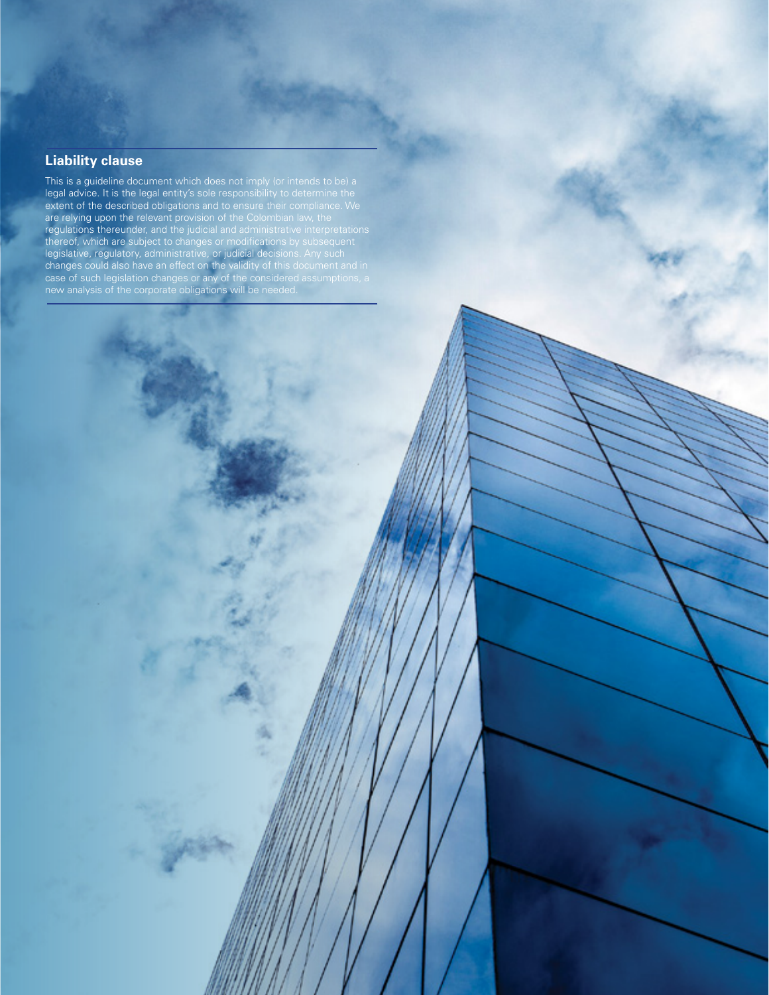# **Liability clause**

This is a guideline document which does not imply (or intends to be) a legal advice. It is the legal entity's sole responsibility to determine the extent of the described obligations and to ensure their compliance. We are relying upon the relevant provision of the Colombian law, the regulations thereunder, and the judicial and administrative interpretations thereof, which are subject to changes or modifications by subsequent legislative, regulatory, administrative, or judicial decisions. Any such changes could also have an effect on the validity of this document and in case of such legislation changes or any of the considered assumptions, a new analysis of the corporate obligations will be needed.